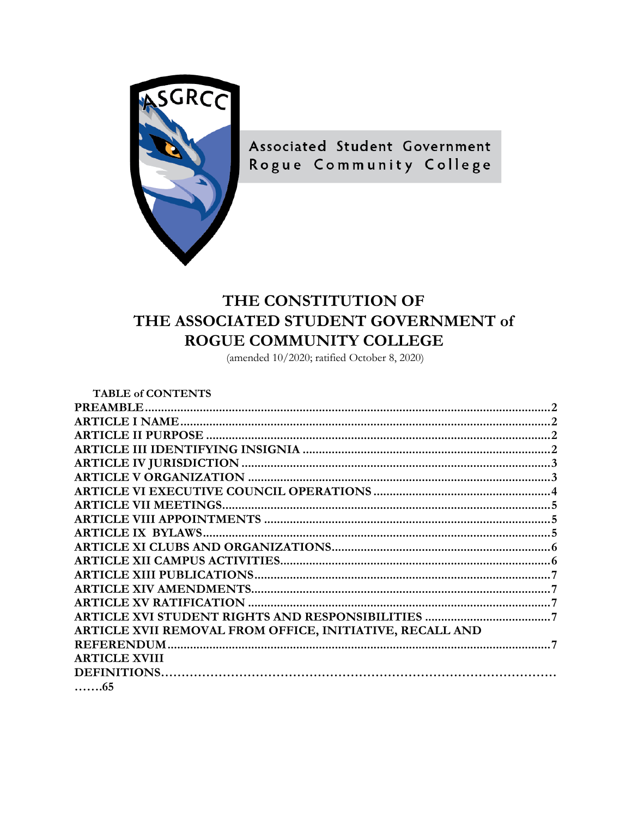

Associated Student Government Rogue Community College

## THE CONSTITUTION OF THE ASSOCIATED STUDENT GOVERNMENT of ROGUE COMMUNITY COLLEGE

(amended  $10/2020$ ; ratified October 8, 2020)

| <b>TABLE of CONTENTS</b>                                 |  |
|----------------------------------------------------------|--|
|                                                          |  |
|                                                          |  |
|                                                          |  |
|                                                          |  |
|                                                          |  |
|                                                          |  |
|                                                          |  |
|                                                          |  |
|                                                          |  |
|                                                          |  |
|                                                          |  |
|                                                          |  |
|                                                          |  |
|                                                          |  |
|                                                          |  |
|                                                          |  |
| ARTICLE XVII REMOVAL FROM OFFICE, INITIATIVE, RECALL AND |  |
| <b>REFERENDUM.</b>                                       |  |
| <b>ARTICLE XVIII</b>                                     |  |
|                                                          |  |
| . 65                                                     |  |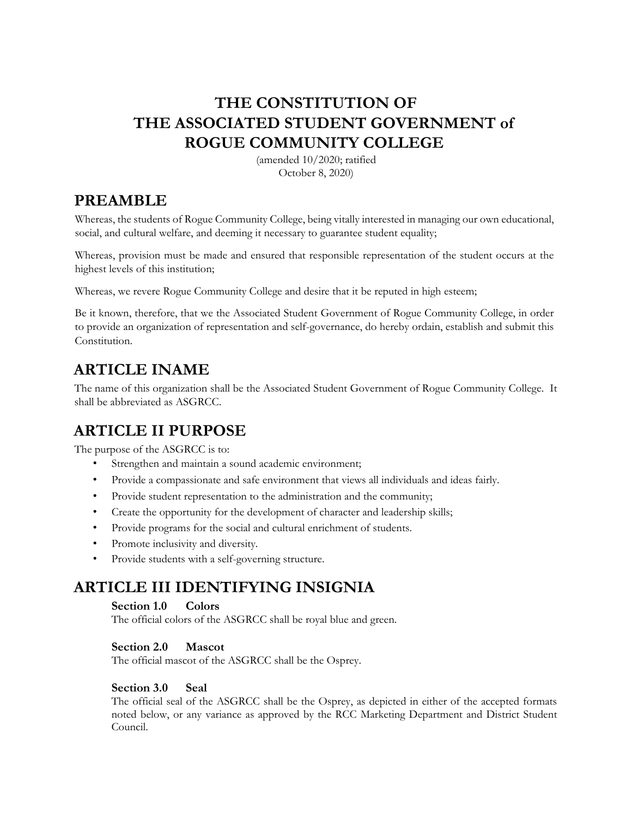## **THE CONSTITUTION OF THE ASSOCIATED STUDENT GOVERNMENT of ROGUE COMMUNITY COLLEGE**

(amended 10/2020; ratified October 8, 2020)

## <span id="page-1-0"></span>**PREAMBLE**

social, and cultural welfare, and deeming it necessary to guarantee student equality; Whereas, the students of Rogue Community College, being vitally interested in managing our own educational,

highest levels of this institution; Whereas, provision must be made and ensured that responsible representation of the student occurs at the

Whereas, we revere Rogue Community College and desire that it be reputed in high esteem;

Be it known, therefore, that we the Associated Student Government of Rogue Community College, in order to provide an organization of representation and self-governance, do hereby ordain, establish and submit this Constitution.

## <span id="page-1-1"></span>**ARTICLE INAME**

The name of this organization shall be the Associated Student Government of Rogue Community College. It shall be abbreviated as ASGRCC.

## <span id="page-1-2"></span>**ARTICLE II PURPOSE**

The purpose of the ASGRCC is to:

- Strengthen and maintain a sound academic environment;
- Provide a compassionate and safe environment that views all individuals and ideas fairly.
- Provide student representation to the administration and the community;
- Create the opportunity for the development of character and leadership skills;
- Provide programs for the social and cultural enrichment of students.
- Promote inclusivity and diversity.
- Provide students with a self-governing structure.

# <span id="page-1-3"></span>**ARTICLE III IDENTIFYING INSIGNIA Section 1.0 Colors**

The official colors of the ASGRCC shall be royal blue and green.

### **Section 2.0 Mascot**

The official mascot of the ASGRCC shall be the Osprey.

### **Section 3.0 Seal**

 Council. The official seal of the ASGRCC shall be the Osprey, as depicted in either of the accepted formats noted below, or any variance as approved by the RCC Marketing Department and District Student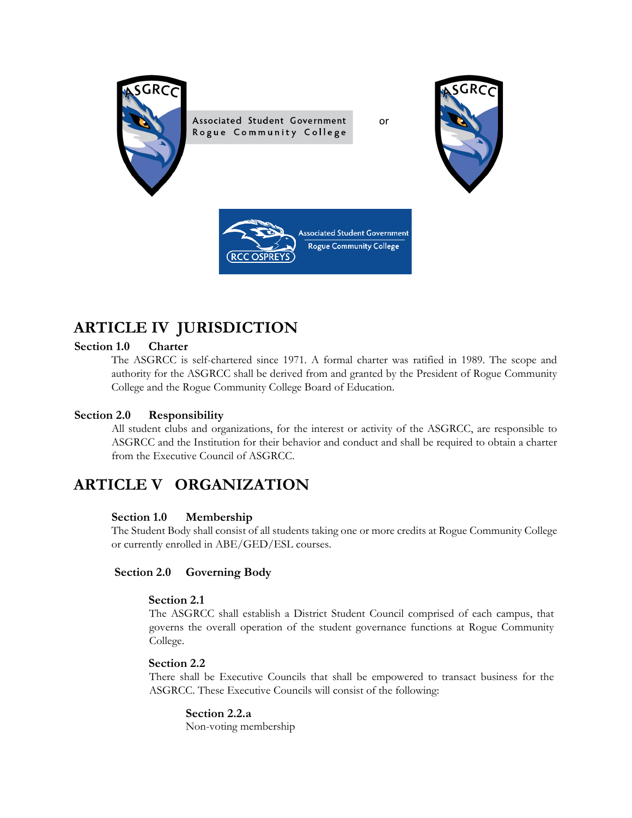

Associated Student Government Rogue Community College

or





## <span id="page-2-0"></span>**ARTICLE IV JURISDICTION**

#### **Section 1.0 Charter**

 College and the Rogue Community College Board of Education. The ASGRCC is self-chartered since 1971. A formal charter was ratified in 1989. The scope and authority for the ASGRCC shall be derived from and granted by the President of Rogue Community

#### **Section 2.0 Responsibility**

All student clubs and organizations, for the interest or activity of the ASGRCC, are responsible to ASGRCC and the Institution for their behavior and conduct and shall be required to obtain a charter from the Executive Council of ASGRCC.

## <span id="page-2-1"></span> **ARTICLE V ORGANIZATION**

#### **Section 1.0 Membership**

 The Student Body shall consist of all students taking one or more credits at Rogue Community College or currently enrolled in ABE/GED/ESL courses.

#### Section 2.0 **Governing Body**

#### **Section 2.1**

 The ASGRCC shall establish a District Student Council comprised of each campus, that College. governs the overall operation of the student governance functions at Rogue Community

#### **Section 2.2**

 ASGRCC. These Executive Councils will consist of the following: There shall be Executive Councils that shall be empowered to transact business for the

### **Section 2.2.a**

Non-voting membership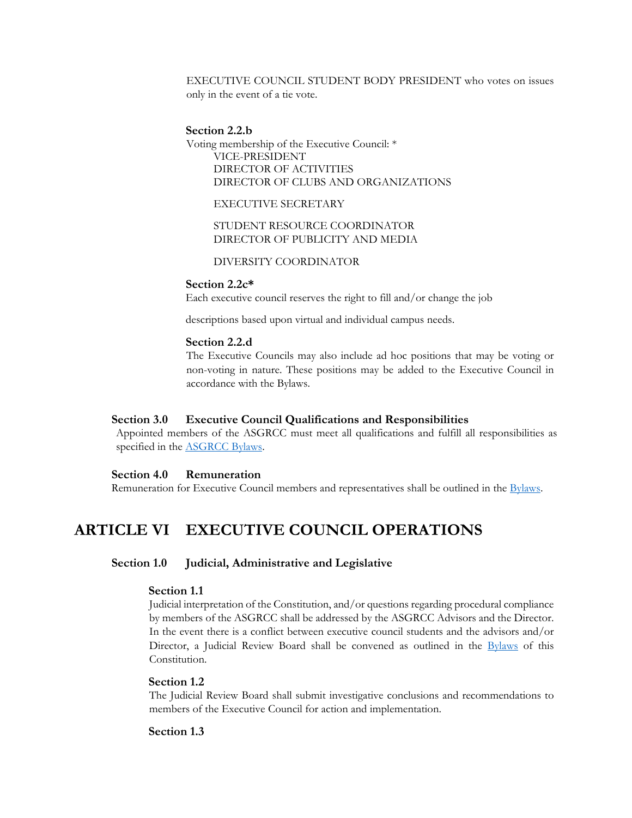EXECUTIVE COUNCIL STUDENT BODY PRESIDENT who votes on issues only in the event of a tie vote.

#### **Section 2.2.b**

 Voting membership of the Executive Council: \* VICE-PRESIDENT DIRECTOR OF ACTIVITIES DIRECTOR OF CLUBS AND ORGANIZATIONS

EXECUTIVE SECRETARY

STUDENT RESOURCE COORDINATOR DIRECTOR OF PUBLICITY AND MEDIA

DIVERSITY COORDINATOR

#### **Section 2.2c\***

Each executive council reserves the right to fill and/or change the job

descriptions based upon virtual and individual campus needs.

#### **Section 2.2.d**

The Executive Councils may also include ad hoc positions that may be voting or non-voting in nature. These positions may be added to the Executive Council in accordance with the Bylaws.

#### **Section 3.0 Executive Council Qualifications and Responsibilities**

Appointed members of the ASGRCC must meet all qualifications and fulfill all responsibilities as specified in the ASGRCC Bylaws.

#### **Section 4.0 Remuneration**

Remuneration for Executive Council members and representatives shall be outlined in the Bylaws.

## <span id="page-3-0"></span>**ARTICLE VI EXECUTIVE COUNCIL OPERATIONS**

#### **Section 1.0 Judicial, Administrative and Legislative**

#### **Section 1.1**

by members of the ASGRCC shall be addressed by the ASGRCC Advisors and the Director. Director, a Judicial Review Board shall be convened as outlined in the **Bylaws** of this Judicial interpretation of the Constitution, and/or questions regarding procedural compliance In the event there is a conflict between executive council students and the advisors and/or Constitution.

#### **Section 1.2**

 members of the Executive Council for action and implementation. The Judicial Review Board shall submit investigative conclusions and recommendations to

#### **Section 1.3**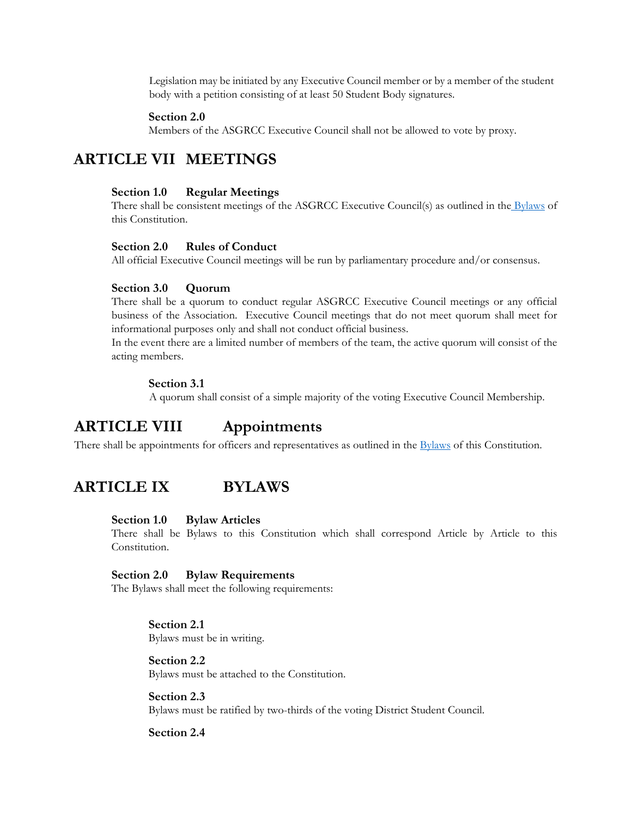Legislation may be initiated by any Executive Council member or by a member of the student body with a petition consisting of at least 50 Student Body signatures.

#### **Section 2.0**

Members of the ASGRCC Executive Council shall not be allowed to vote by proxy.

## <span id="page-4-0"></span> **ARTICLE VII MEETINGS**

#### **Section 1.0 Regular Meetings**

There shall be consistent meetings of the ASGRCC Executive Council(s) as outlined in the Bylaws of this Constitution.

#### **Section 2.0 Rules of Conduct**

All official Executive Council meetings will be run by parliamentary procedure and/or consensus.

#### **Section 3.0 Quorum**

 business of the Association. Executive Council meetings that do not meet quorum shall meet for There shall be a quorum to conduct regular ASGRCC Executive Council meetings or any official informational purposes only and shall not conduct official business.

In the event there are a limited number of members of the team, the active quorum will consist of the acting members.

#### **Section 3.1**

A quorum shall consist of a simple majority of the voting Executive Council Membership.

## <span id="page-4-1"></span>**ARTICLE VIII Appointments**

There shall be appointments for officers and representatives as outlined in the Bylaws of this Constitution.

### <span id="page-4-2"></span>**ARTICLE IX BYLAWS**

#### **Section 1.0 Bylaw Articles**

There shall be Bylaws to this Constitution which shall correspond Article by Article to this Constitution.

#### **Section 2.0 Bylaw Requirements**

The Bylaws shall meet the following requirements:

#### **Section 2.1**

Bylaws must be in writing.

#### **Section 2.2**

Bylaws must be attached to the Constitution.

#### **Section 2.3**

Bylaws must be ratified by two-thirds of the voting District Student Council.

**Section 2.4**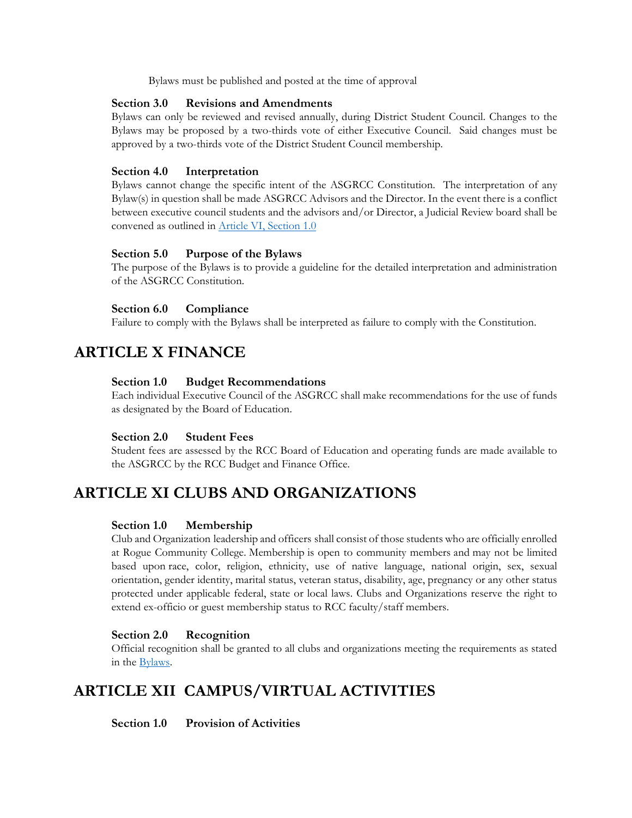Bylaws must be published and posted at the time of approval

#### **Section 3.0 Revisions and Amendments**

Bylaws can only be reviewed and revised annually, during District Student Council. Changes to the Bylaws may be proposed by a two-thirds vote of either Executive Council. Said changes must be approved by a two-thirds vote of the District Student Council membership.

#### **Section 4.0 Interpretation**

 Bylaws cannot change the specific intent of the ASGRCC Constitution. The interpretation of any between executive council students and the advisors and/or Director, a Judicial Review board shall be Bylaw(s) in question shall be made ASGRCC Advisors and the Director. In the event there is a conflict convened as outlined in Article VI, Section 1.0

#### **Section 5.0 Purpose of the Bylaws**

The purpose of the Bylaws is to provide a guideline for the detailed interpretation and administration of the ASGRCC Constitution.

#### **Section 6.0 Compliance**

Failure to comply with the Bylaws shall be interpreted as failure to comply with the Constitution.

## **ARTICLE X FINANCE**

#### **Section 1.0 Budget Recommendations**

Each individual Executive Council of the ASGRCC shall make recommendations for the use of funds as designated by the Board of Education.

#### **Section 2.0 Student Fees**

 Student fees are assessed by the RCC Board of Education and operating funds are made available to the ASGRCC by the RCC Budget and Finance Office.

## <span id="page-5-0"></span>**ARTICLE XI CLUBS AND ORGANIZATIONS**

#### **Section 1.0 Membership**

 at Rogue Community College. Membership is open to community members and may not be limited extend ex-officio or guest membership status to RCC faculty/staff members. Club and Organization leadership and officers shall consist of those students who are officially enrolled based upon race, color, religion, ethnicity, use of native language, national origin, sex, sexual orientation, gender identity, marital status, veteran status, disability, age, pregnancy or any other status protected under applicable federal, state or local laws. Clubs and Organizations reserve the right to

#### **Section 2.0 Recognition**

 Official recognition shall be granted to all clubs and organizations meeting the requirements as stated in the Bylaws.

## <span id="page-5-1"></span>**ARTICLE XII CAMPUS/VIRTUAL ACTIVITIES**

**Section 1.0 Provision of Activities**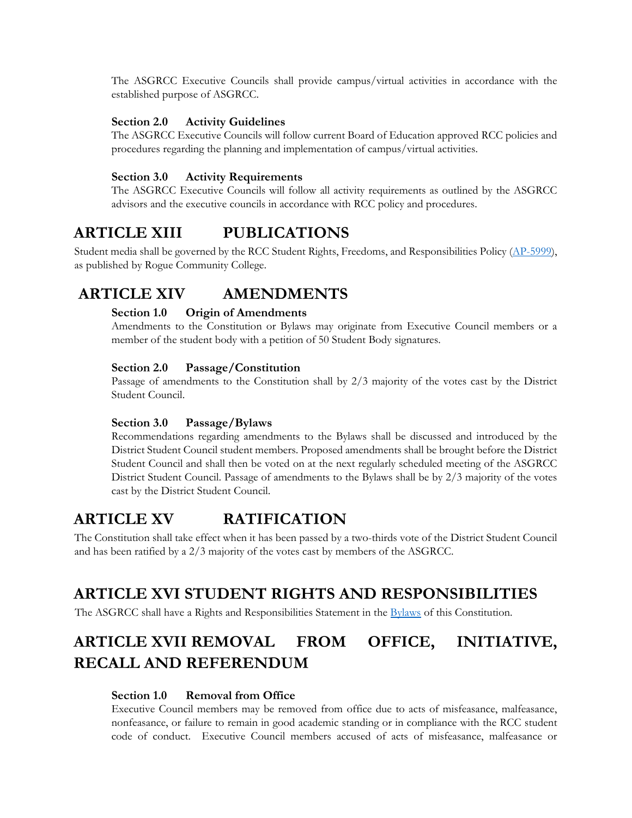The ASGRCC Executive Councils shall provide campus/virtual activities in accordance with the established purpose of ASGRCC.

#### **Section 2.0 Activity Guidelines**

 The ASGRCC Executive Councils will follow current Board of Education approved RCC policies and procedures regarding the planning and implementation of campus/virtual activities.

#### **Section 3.0 Activity Requirements**

 The ASGRCC Executive Councils will follow all activity requirements as outlined by the ASGRCC advisors and the executive councils in accordance with RCC policy and procedures.

## <span id="page-6-0"></span>**ARTICLE XIII PUBLICATIONS**

Student media shall be governed by the RCC Student Rights, Freedoms, and Responsibilities Policy [\(AP-5999\)](https://web.roguecc.edu/sites/web.roguecc.edu/files/Sites/BoardPolicies/pdf/chapter5/AP-5999_StudentRightsFreedomsResponsibilities.pdf), as published by Rogue Community College.

## <span id="page-6-1"></span>**ARTICLE XIV AMENDMENTS**

#### **Section 1.0 Origin of Amendments**

 Amendments to the Constitution or Bylaws may originate from Executive Council members or a member of the student body with a petition of 50 Student Body signatures.

#### **Section 2.0 Passage/Constitution**

Passage of amendments to the Constitution shall by 2/3 majority of the votes cast by the District Student Council.

#### **Section 3.0 Passage/Bylaws**

Recommendations regarding amendments to the Bylaws shall be discussed and introduced by the District Student Council student members. Proposed amendments shall be brought before the District Student Council and shall then be voted on at the next regularly scheduled meeting of the ASGRCC District Student Council. Passage of amendments to the Bylaws shall be by 2/3 majority of the votes cast by the District Student Council.

## <span id="page-6-2"></span>**ARTICLE XV RATIFICATION**

The Constitution shall take effect when it has been passed by a two-thirds vote of the District Student Council and has been ratified by a 2/3 majority of the votes cast by members of the ASGRCC.

## <span id="page-6-3"></span>**ARTICLE XVI STUDENT RIGHTS AND RESPONSIBILITIES**

The ASGRCC shall have a Rights and Responsibilities Statement in the Bylaws of this Constitution.

## <span id="page-6-4"></span>**ARTICLE XVII REMOVAL FROM OFFICE, INITIATIVE, RECALL AND REFERENDUM**

#### **Section 1.0 Removal from Office**

Executive Council members may be removed from office due to acts of misfeasance, malfeasance, nonfeasance, or failure to remain in good academic standing or in compliance with the RCC student code of conduct. Executive Council members accused of acts of misfeasance, malfeasance or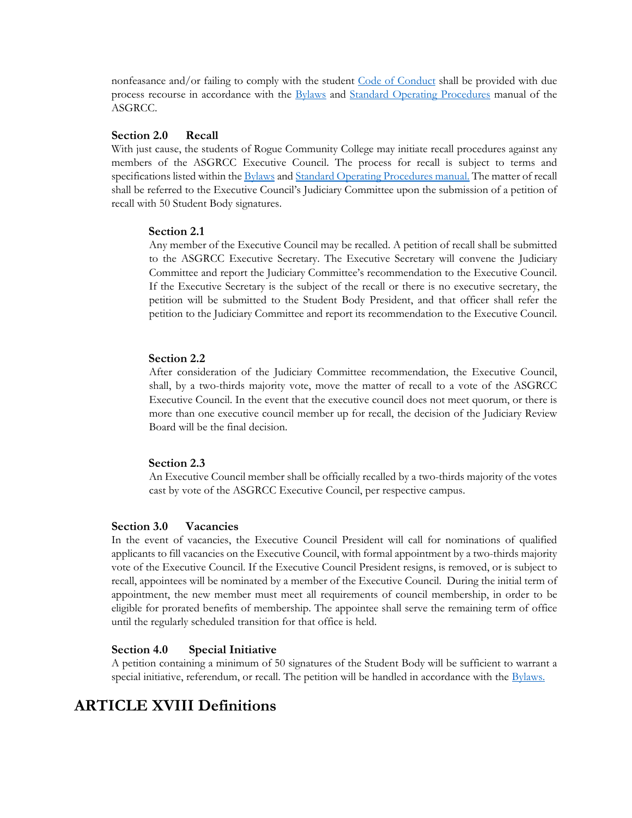nonfeasance and/or failing to comply with the student [Code of Conduct](https://web.roguecc.edu/board-policies/ap-5500-standards-student-conduct) shall be provided with due process recourse in accordance with the Bylaws and Standard Operating Procedures manual of the ASGRCC.

#### **Section 2.0 Recall**

specifications listed within the **Bylaws** and **Standard Operating Procedures manual**. The matter of recall With just cause, the students of Rogue Community College may initiate recall procedures against any members of the ASGRCC Executive Council. The process for recall is subject to terms and shall be referred to the Executive Council's Judiciary Committee upon the submission of a petition of recall with 50 Student Body signatures.

#### **Section 2.1**

Any member of the Executive Council may be recalled. A petition of recall shall be submitted to the ASGRCC Executive Secretary. The Executive Secretary will convene the Judiciary Committee and report the Judiciary Committee's recommendation to the Executive Council. If the Executive Secretary is the subject of the recall or there is no executive secretary, the petition will be submitted to the Student Body President, and that officer shall refer the petition to the Judiciary Committee and report its recommendation to the Executive Council.

#### **Section 2.2**

 shall, by a two-thirds majority vote, move the matter of recall to a vote of the ASGRCC Board will be the final decision. After consideration of the Judiciary Committee recommendation, the Executive Council, Executive Council. In the event that the executive council does not meet quorum, or there is more than one executive council member up for recall, the decision of the Judiciary Review

#### **Section 2.3**

An Executive Council member shall be officially recalled by a two-thirds majority of the votes cast by vote of the ASGRCC Executive Council, per respective campus.

#### **Section 3.0 Vacancies**

 eligible for prorated benefits of membership. The appointee shall serve the remaining term of office until the regularly scheduled transition for that office is held. In the event of vacancies, the Executive Council President will call for nominations of qualified applicants to fill vacancies on the Executive Council, with formal appointment by a two-thirds majority vote of the Executive Council. If the Executive Council President resigns, is removed, or is subject to recall, appointees will be nominated by a member of the Executive Council. During the initial term of appointment, the new member must meet all requirements of council membership, in order to be

#### Section 4.0 **Special Initiative**

 A petition containing a minimum of 50 signatures of the Student Body will be sufficient to warrant a special initiative, referendum, or recall. The petition will be handled in accordance with the Bylaws.

## **ARTICLE XVIII Definitions**